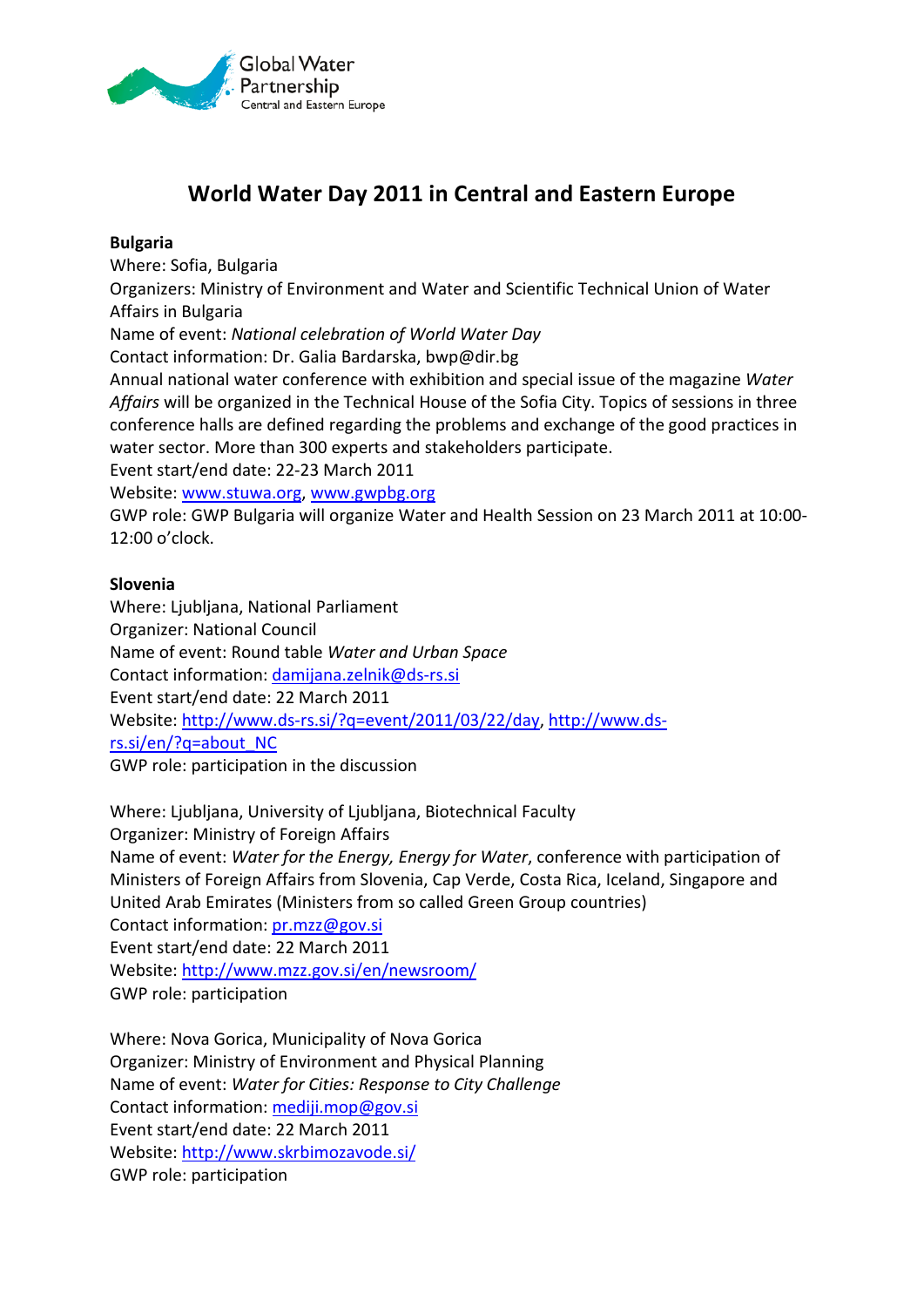

# **World Water Day 2011 in Central and Eastern Europe**

## **Bulgaria**

Where: Sofia, Bulgaria

Organizers: Ministry of Environment and Water and Scientific Technical Union of Water Affairs in Bulgaria

Name of event: *National celebration of World Water Day*

Contact information: Dr. Galia Bardarska, bwp@dir.bg

Annual national water conference with exhibition and special issue of the magazine *Water Affairs* will be organized in the Technical House of the Sofia City. Topics of sessions in three conference halls are defined regarding the problems and exchange of the good practices in water sector. More than 300 experts and stakeholders participate.

Event start/end date: 22-23 March 2011

Website: [www.stuwa.org,](http://www.stuwa.org/) [www.gwpbg.org](http://www.gwpbg.org/)

GWP role: GWP Bulgaria will organize Water and Health Session on 23 March 2011 at 10:00- 12:00 o'clock.

## **Slovenia**

Where: Ljubljana, National Parliament Organizer: National Council Name of event: Round table *Water and Urban Space* Contact information: [damijana.zelnik@ds-rs.si](mailto:damijana.zelnik@ds-rs.si) Event start/end date: 22 March 2011 Website: [http://www.ds-rs.si/?q=event/2011/03/22/day,](http://www.ds-rs.si/?q=event/2011/03/22/day) [http://www.ds](http://www.ds-rs.si/en/?q=about_NC)[rs.si/en/?q=about\\_NC](http://www.ds-rs.si/en/?q=about_NC) GWP role: participation in the discussion

Where: Ljubljana, University of Ljubljana, Biotechnical Faculty Organizer: Ministry of Foreign Affairs Name of event: *Water for the Energy, Energy for Water*, conference with participation of Ministers of Foreign Affairs from Slovenia, Cap Verde, Costa Rica, Iceland, Singapore and United Arab Emirates (Ministers from so called Green Group countries) Contact information: [pr.mzz@gov.si](mailto:pr.mzz@gov.si) Event start/end date: 22 March 2011 Website:<http://www.mzz.gov.si/en/newsroom/> GWP role: participation

Where: Nova Gorica, Municipality of Nova Gorica Organizer: Ministry of Environment and Physical Planning Name of event: *Water for Cities: Response to City Challenge* Contact information: [mediji.mop@gov.si](mailto:mediji.mop@gov.si) Event start/end date: 22 March 2011 Website:<http://www.skrbimozavode.si/> GWP role: participation